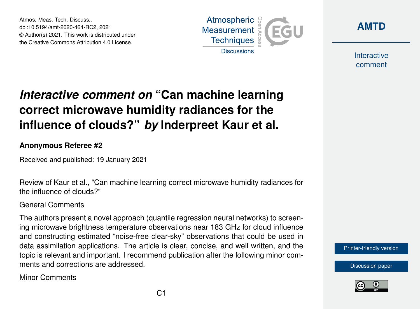Atmos. Meas. Tech. Discuss., doi:10.5194/amt-2020-464-RC2, 2021 © Author(s) 2021. This work is distributed under the Creative Commons Attribution 4.0 License.





Interactive comment

## *Interactive comment on* **"Can machine learning correct microwave humidity radiances for the influence of clouds?"** *by* **Inderpreet Kaur et al.**

## **Anonymous Referee #2**

Received and published: 19 January 2021

Review of Kaur et al., "Can machine learning correct microwave humidity radiances for the influence of clouds?"

## General Comments

The authors present a novel approach (quantile regression neural networks) to screening microwave brightness temperature observations near 183 GHz for cloud influence and constructing estimated "noise-free clear-sky" observations that could be used in data assimilation applications. The article is clear, concise, and well written, and the topic is relevant and important. I recommend publication after the following minor comments and corrections are addressed.

Minor Comments

[Printer-friendly version](https://amt.copernicus.org/preprints/amt-2020-464/amt-2020-464-RC2-print.pdf)

[Discussion paper](https://amt.copernicus.org/preprints/amt-2020-464)

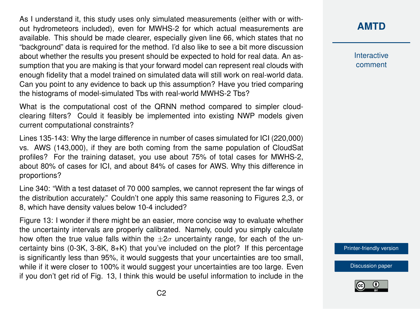As I understand it, this study uses only simulated measurements (either with or without hydrometeors included), even for MWHS-2 for which actual measurements are available. This should be made clearer, especially given line 66, which states that no "background" data is required for the method. I'd also like to see a bit more discussion about whether the results you present should be expected to hold for real data. An assumption that you are making is that your forward model can represent real clouds with enough fidelity that a model trained on simulated data will still work on real-world data. Can you point to any evidence to back up this assumption? Have you tried comparing the histograms of model-simulated Tbs with real-world MWHS-2 Tbs?

What is the computational cost of the QRNN method compared to simpler cloudclearing filters? Could it feasibly be implemented into existing NWP models given current computational constraints?

Lines 135-143: Why the large difference in number of cases simulated for ICI (220,000) vs. AWS (143,000), if they are both coming from the same population of CloudSat profiles? For the training dataset, you use about 75% of total cases for MWHS-2, about 80% of cases for ICI, and about 84% of cases for AWS. Why this difference in proportions?

Line 340: "With a test dataset of 70 000 samples, we cannot represent the far wings of the distribution accurately." Couldn't one apply this same reasoning to Figures 2,3, or 8, which have density values below 10-4 included?

Figure 13: I wonder if there might be an easier, more concise way to evaluate whether the uncertainty intervals are properly calibrated. Namely, could you simply calculate how often the true value falls within the  $\pm 2\sigma$  uncertainty range, for each of the uncertainty bins (0-3K, 3-8K, 8+K) that you've included on the plot? If this percentage is significantly less than 95%, it would suggests that your uncertainties are too small, while if it were closer to 100% it would suggest your uncertainties are too large. Even if you don't get rid of Fig. 13, I think this would be useful information to include in the **[AMTD](https://amt.copernicus.org/preprints/)**

Interactive comment

[Printer-friendly version](https://amt.copernicus.org/preprints/amt-2020-464/amt-2020-464-RC2-print.pdf)

[Discussion paper](https://amt.copernicus.org/preprints/amt-2020-464)